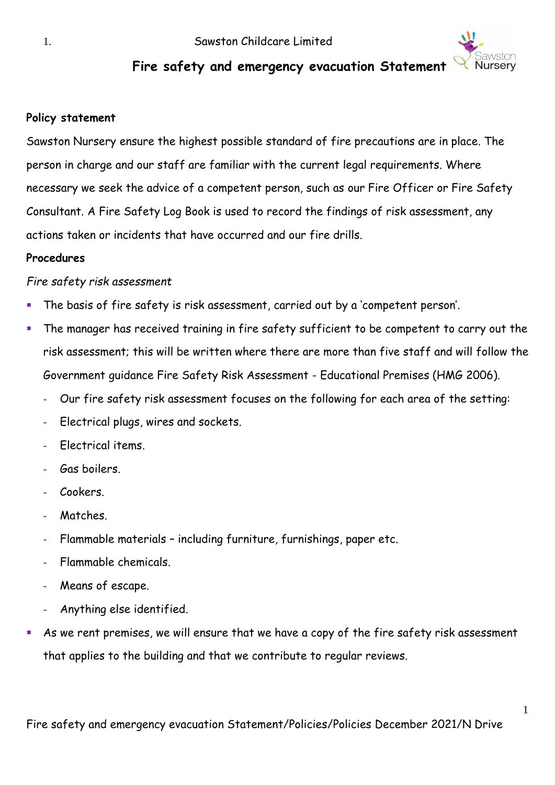

# **Fire safety and emergency evacuation Statement**

### **Policy statement**

Sawston Nursery ensure the highest possible standard of fire precautions are in place. The person in charge and our staff are familiar with the current legal requirements. Where necessary we seek the advice of a competent person, such as our Fire Officer or Fire Safety Consultant. A Fire Safety Log Book is used to record the findings of risk assessment, any actions taken or incidents that have occurred and our fire drills.

#### **Procedures**

### *Fire safety risk assessment*

- The basis of fire safety is risk assessment, carried out by a 'competent person'.
- The manager has received training in fire safety sufficient to be competent to carry out the risk assessment; this will be written where there are more than five staff and will follow the Government guidance Fire Safety Risk Assessment - Educational Premises (HMG 2006).
	- **-** Our fire safety risk assessment focuses on the following for each area of the setting:
	- **-** Electrical plugs, wires and sockets.
	- **-** Electrical items.
	- **-** Gas boilers.
	- **-** Cookers.
	- **-** Matches.
	- **-** Flammable materials including furniture, furnishings, paper etc.
	- **-** Flammable chemicals.
	- **-** Means of escape.
	- **-** Anything else identified.
- As we rent premises, we will ensure that we have a copy of the fire safety risk assessment that applies to the building and that we contribute to regular reviews.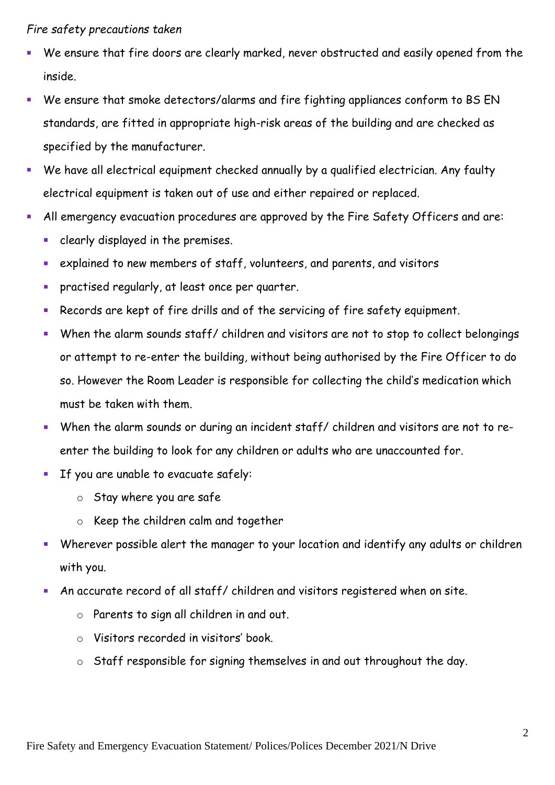#### *Fire safety precautions taken*

- We ensure that fire doors are clearly marked, never obstructed and easily opened from the inside.
- We ensure that smoke detectors/alarms and fire fighting appliances conform to BS EN standards, are fitted in appropriate high-risk areas of the building and are checked as specified by the manufacturer.
- We have all electrical equipment checked annually by a qualified electrician. Any faulty electrical equipment is taken out of use and either repaired or replaced.
- All emergency evacuation procedures are approved by the Fire Safety Officers and are:
	- clearly displayed in the premises.
	- explained to new members of staff, volunteers, and parents, and visitors
	- **•** practised regularly, at least once per quarter.
	- Records are kept of fire drills and of the servicing of fire safety equipment.
	- When the alarm sounds staff/ children and visitors are not to stop to collect belongings or attempt to re-enter the building, without being authorised by the Fire Officer to do so. However the Room Leader is responsible for collecting the child's medication which must be taken with them.
	- When the alarm sounds or during an incident staff/ children and visitors are not to reenter the building to look for any children or adults who are unaccounted for.
	- If you are unable to evacuate safely:
		- o Stay where you are safe
		- o Keep the children calm and together
	- Wherever possible alert the manager to your location and identify any adults or children with you.
	- An accurate record of all staff/ children and visitors registered when on site.
		- o Parents to sign all children in and out.
		- o Visitors recorded in visitors' book.
		- o Staff responsible for signing themselves in and out throughout the day.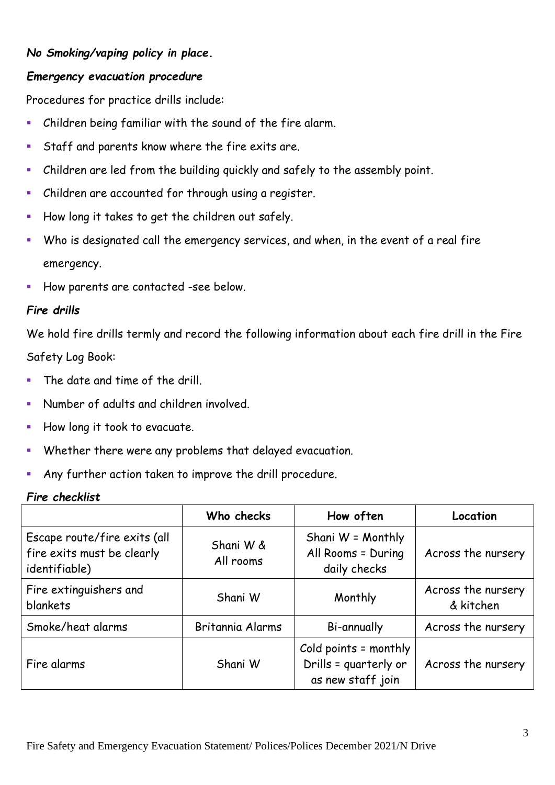### *No Smoking/vaping policy in place.*

### *Emergency evacuation procedure*

Procedures for practice drills include:

- Children being familiar with the sound of the fire alarm.
- **EXECT:** Staff and parents know where the fire exits are.
- Children are led from the building quickly and safely to the assembly point.
- Children are accounted for through using a register.
- How long it takes to get the children out safely.
- Who is designated call the emergency services, and when, in the event of a real fire emergency.
- How parents are contacted -see below.

### *Fire drills*

We hold fire drills termly and record the following information about each fire drill in the Fire Safety Log Book:

- The date and time of the drill.
- Number of adults and children involved.
- How long it took to evacuate.
- Whether there were any problems that delayed evacuation.
- Any further action taken to improve the drill procedure.

#### *Fire checklist*

|                                                                             | Who checks             | How often                                                           | Location                        |
|-----------------------------------------------------------------------------|------------------------|---------------------------------------------------------------------|---------------------------------|
| Escape route/fire exits (all<br>fire exits must be clearly<br>identifiable) | Shani W &<br>All rooms | Shani W = Monthly<br>All Rooms = During<br>daily checks             | Across the nursery              |
| Fire extinguishers and<br><b>blankets</b>                                   | Shani W                | Monthly                                                             | Across the nursery<br>& kitchen |
| Smoke/heat alarms                                                           | Britannia Alarms       | Bi-annually                                                         | Across the nursery              |
| Fire alarms                                                                 | Shani W                | Cold points = monthly<br>Drills = quarterly or<br>as new staff join | Across the nursery              |